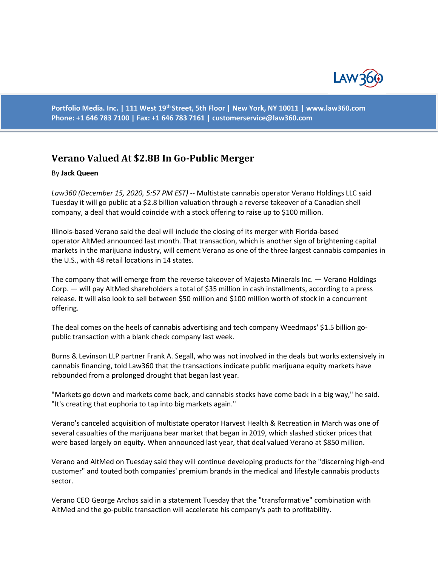

**Portfolio Media. Inc. | 111 West 19th Street, 5th Floor | New York, NY 10011 | www.law360.com Phone: +1 646 783 7100 | Fax: +1 646 783 7161 | customerservice@law360.com**

## **Verano Valued At \$2.8B In Go-Public Merger**

## By **Jack Queen**

*Law360 (December 15, 2020, 5:57 PM EST)* -- Multistate cannabis operator Verano Holdings LLC said Tuesday it will go public at a \$2.8 billion valuation through a reverse takeover of a Canadian shell company, a deal that would coincide with a stock offering to raise up to \$100 million.

Illinois-based Verano said the deal will include the closing of its merger with Florida-based operator AltMed announced last month. That transaction, which is another sign of brightening capital markets in the marijuana industry, will cement Verano as one of the three largest cannabis companies in the U.S., with 48 retail locations in 14 states.

The company that will emerge from the reverse takeover of Majesta Minerals Inc. — Verano Holdings Corp. — will pay AltMed shareholders a total of \$35 million in cash installments, according to a press release. It will also look to sell between \$50 million and \$100 million worth of stock in a concurrent offering.

The deal comes on the heels of cannabis advertising and tech company Weedmaps' \$1.5 billion gopublic transaction with a blank check company last week.

Burns & Levinson LLP partner Frank A. Segall, who was not involved in the deals but works extensively in cannabis financing, told Law360 that the transactions indicate public marijuana equity markets have rebounded from a prolonged drought that began last year.

"Markets go down and markets come back, and cannabis stocks have come back in a big way," he said. "It's creating that euphoria to tap into big markets again."

Verano's canceled acquisition of multistate operator Harvest Health & Recreation in March was one of several casualties of the marijuana bear market that began in 2019, which slashed sticker prices that were based largely on equity. When announced last year, that deal valued Verano at \$850 million.

Verano and AltMed on Tuesday said they will continue developing products for the "discerning high-end customer" and touted both companies' premium brands in the medical and lifestyle cannabis products sector.

Verano CEO George Archos said in a statement Tuesday that the "transformative" combination with AltMed and the go-public transaction will accelerate his company's path to profitability.